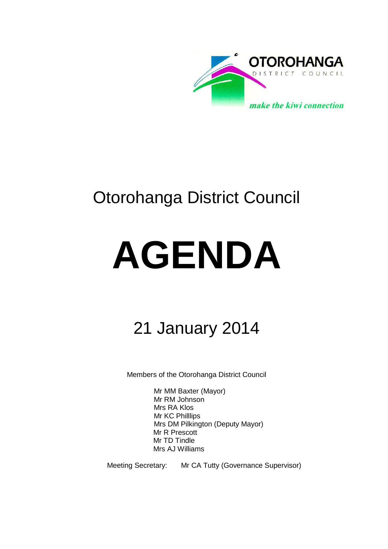

# Otorohanga District Council

# **AGENDA**

# 21 January 2014

Members of the Otorohanga District Council

Mr MM Baxter (Mayor) Mr RM Johnson Mrs RA Klos Mr KC Philllips Mrs DM Pilkington (Deputy Mayor) Mr R Prescott Mr TD Tindle Mrs AJ Williams

Meeting Secretary: Mr CA Tutty (Governance Supervisor)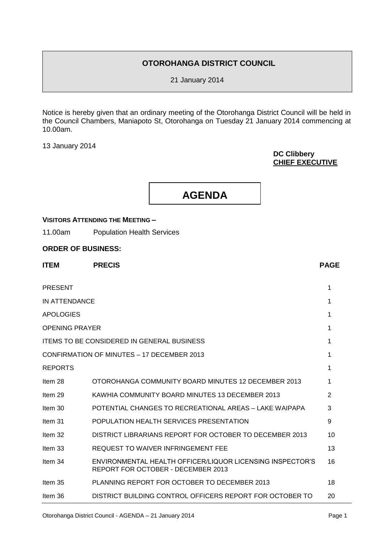# **OTOROHANGA DISTRICT COUNCIL**

21 January 2014

Notice is hereby given that an ordinary meeting of the Otorohanga District Council will be held in the Council Chambers, Maniapoto St, Otorohanga on Tuesday 21 January 2014 commencing at 10.00am.

13 January 2014

# **DC Clibbery CHIEF EXECUTIVE**



# **VISITORS ATTENDING THE MEETING –**

11.00am Population Health Services

# **ORDER OF BUSINESS:**

| <b>ITEM</b>           | <b>PRECIS</b>                                                                                   | <b>PAGE</b> |
|-----------------------|-------------------------------------------------------------------------------------------------|-------------|
| <b>PRESENT</b>        |                                                                                                 | 1           |
| IN ATTENDANCE         |                                                                                                 | 1           |
| <b>APOLOGIES</b>      |                                                                                                 | 1           |
| <b>OPENING PRAYER</b> |                                                                                                 | 1           |
|                       | <b>ITEMS TO BE CONSIDERED IN GENERAL BUSINESS</b>                                               | 1           |
|                       | CONFIRMATION OF MINUTES - 17 DECEMBER 2013                                                      | 1           |
| <b>REPORTS</b>        |                                                                                                 | 1           |
| Item 28               | OTOROHANGA COMMUNITY BOARD MINUTES 12 DECEMBER 2013                                             | 1           |
| Item 29               | KAWHIA COMMUNITY BOARD MINUTES 13 DECEMBER 2013                                                 | 2           |
| Item 30               | POTENTIAL CHANGES TO RECREATIONAL AREAS - LAKE WAIPAPA                                          | 3           |
| Item 31               | POPULATION HEALTH SERVICES PRESENTATION                                                         | 9           |
| Item 32               | DISTRICT LIBRARIANS REPORT FOR OCTOBER TO DECEMBER 2013                                         | 10          |
| Item 33               | <b>REQUEST TO WAIVER INFRINGEMENT FEE</b>                                                       | 13          |
| Item 34               | ENVIRONMENTAL HEALTH OFFICER/LIQUOR LICENSING INSPECTOR'S<br>REPORT FOR OCTOBER - DECEMBER 2013 | 16          |
| Item 35               | PLANNING REPORT FOR OCTOBER TO DECEMBER 2013                                                    | 18          |
| Item 36               | DISTRICT BUILDING CONTROL OFFICERS REPORT FOR OCTOBER TO                                        | 20          |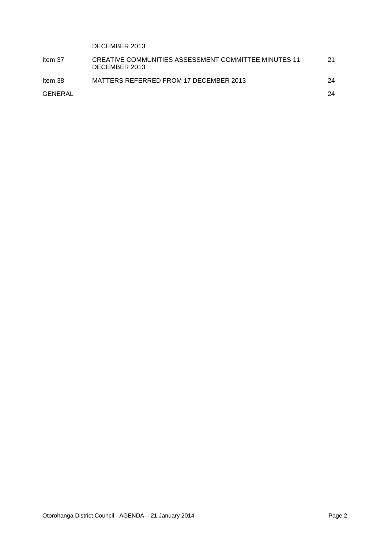# DECEMBER 2013

| Item 37 | CREATIVE COMMUNITIES ASSESSMENT COMMITTEE MINUTES 11<br>DECEMBER 2013 | 21 |
|---------|-----------------------------------------------------------------------|----|
| Item 38 | MATTERS REFERRED FROM 17 DECEMBER 2013                                | 24 |
| GENERAL |                                                                       | 24 |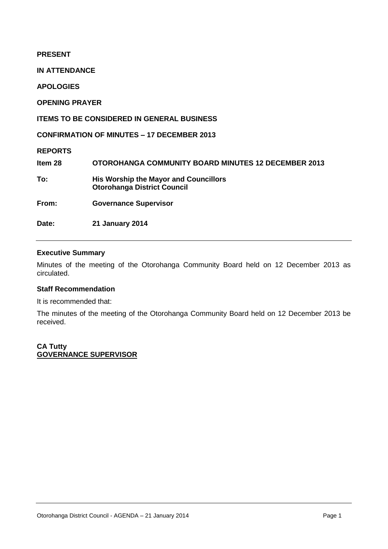# **PRESENT IN ATTENDANCE APOLOGIES OPENING PRAYER ITEMS TO BE CONSIDERED IN GENERAL BUSINESS CONFIRMATION OF MINUTES – 17 DECEMBER 2013 REPORTS Item 28 OTOROHANGA COMMUNITY BOARD MINUTES 12 DECEMBER 2013 To: His Worship the Mayor and Councillors Otorohanga District Council From: Governance Supervisor Date: 21 January 2014**

# **Executive Summary**

Minutes of the meeting of the Otorohanga Community Board held on 12 December 2013 as circulated.

# **Staff Recommendation**

It is recommended that:

The minutes of the meeting of the Otorohanga Community Board held on 12 December 2013 be received.

**CA Tutty GOVERNANCE SUPERVISOR**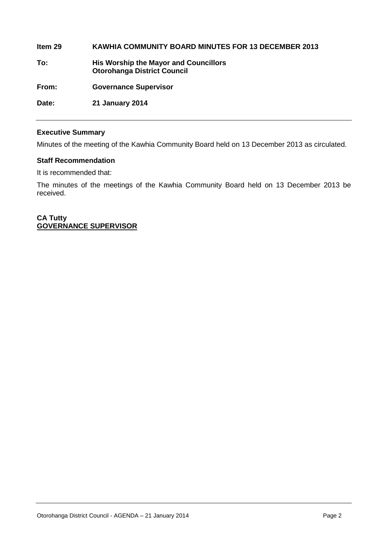**Item 29 KAWHIA COMMUNITY BOARD MINUTES FOR 13 DECEMBER 2013 To: His Worship the Mayor and Councillors Otorohanga District Council From: Governance Supervisor Date: 21 January 2014**

# **Executive Summary**

Minutes of the meeting of the Kawhia Community Board held on 13 December 2013 as circulated.

# **Staff Recommendation**

It is recommended that:

The minutes of the meetings of the Kawhia Community Board held on 13 December 2013 be received.

**CA Tutty GOVERNANCE SUPERVISOR**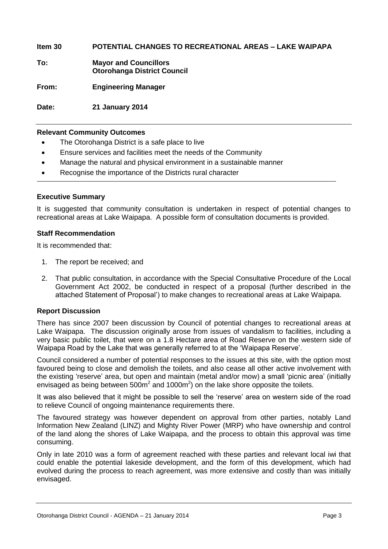**Item 30 POTENTIAL CHANGES TO RECREATIONAL AREAS – LAKE WAIPAPA**

**To: Mayor and Councillors Otorohanga District Council**

**From: Engineering Manager**

**Date: 21 January 2014**

# **Relevant Community Outcomes**

- The Otorohanga District is a safe place to live
- Ensure services and facilities meet the needs of the Community
- Manage the natural and physical environment in a sustainable manner
- Recognise the importance of the Districts rural character

# **Executive Summary**

It is suggested that community consultation is undertaken in respect of potential changes to recreational areas at Lake Waipapa. A possible form of consultation documents is provided.

# **Staff Recommendation**

It is recommended that:

- 1. The report be received; and
- 2. That public consultation, in accordance with the Special Consultative Procedure of the Local Government Act 2002, be conducted in respect of a proposal (further described in the attached Statement of Proposal') to make changes to recreational areas at Lake Waipapa.

# **Report Discussion**

There has since 2007 been discussion by Council of potential changes to recreational areas at Lake Waipapa. The discussion originally arose from issues of vandalism to facilities, including a very basic public toilet, that were on a 1.8 Hectare area of Road Reserve on the western side of Waipapa Road by the Lake that was generally referred to at the 'Waipapa Reserve'.

Council considered a number of potential responses to the issues at this site, with the option most favoured being to close and demolish the toilets, and also cease all other active involvement with the existing 'reserve' area, but open and maintain (metal and/or mow) a small 'picnic area' (initially envisaged as being between  $500m^2$  and  $1000m^2$ ) on the lake shore opposite the toilets.

It was also believed that it might be possible to sell the 'reserve' area on western side of the road to relieve Council of ongoing maintenance requirements there.

The favoured strategy was however dependent on approval from other parties, notably Land Information New Zealand (LINZ) and Mighty River Power (MRP) who have ownership and control of the land along the shores of Lake Waipapa, and the process to obtain this approval was time consuming.

Only in late 2010 was a form of agreement reached with these parties and relevant local iwi that could enable the potential lakeside development, and the form of this development, which had evolved during the process to reach agreement, was more extensive and costly than was initially envisaged.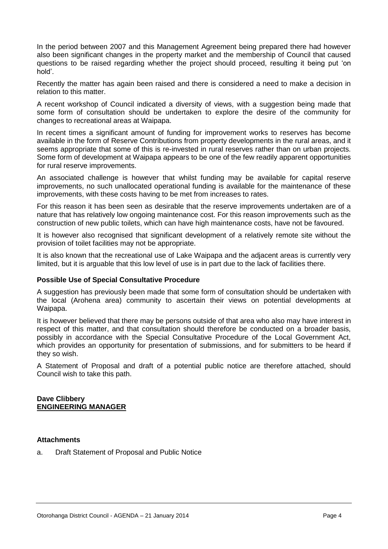In the period between 2007 and this Management Agreement being prepared there had however also been significant changes in the property market and the membership of Council that caused questions to be raised regarding whether the project should proceed, resulting it being put 'on hold'.

Recently the matter has again been raised and there is considered a need to make a decision in relation to this matter.

A recent workshop of Council indicated a diversity of views, with a suggestion being made that some form of consultation should be undertaken to explore the desire of the community for changes to recreational areas at Waipapa.

In recent times a significant amount of funding for improvement works to reserves has become available in the form of Reserve Contributions from property developments in the rural areas, and it seems appropriate that some of this is re-invested in rural reserves rather than on urban projects. Some form of development at Waipapa appears to be one of the few readily apparent opportunities for rural reserve improvements.

An associated challenge is however that whilst funding may be available for capital reserve improvements, no such unallocated operational funding is available for the maintenance of these improvements, with these costs having to be met from increases to rates.

For this reason it has been seen as desirable that the reserve improvements undertaken are of a nature that has relatively low ongoing maintenance cost. For this reason improvements such as the construction of new public toilets, which can have high maintenance costs, have not be favoured.

It is however also recognised that significant development of a relatively remote site without the provision of toilet facilities may not be appropriate.

It is also known that the recreational use of Lake Waipapa and the adjacent areas is currently very limited, but it is arguable that this low level of use is in part due to the lack of facilities there.

# **Possible Use of Special Consultative Procedure**

A suggestion has previously been made that some form of consultation should be undertaken with the local (Arohena area) community to ascertain their views on potential developments at Waipapa.

It is however believed that there may be persons outside of that area who also may have interest in respect of this matter, and that consultation should therefore be conducted on a broader basis, possibly in accordance with the Special Consultative Procedure of the Local Government Act, which provides an opportunity for presentation of submissions, and for submitters to be heard if they so wish.

A Statement of Proposal and draft of a potential public notice are therefore attached, should Council wish to take this path.

# **Dave Clibbery ENGINEERING MANAGER**

# **Attachments**

a. Draft Statement of Proposal and Public Notice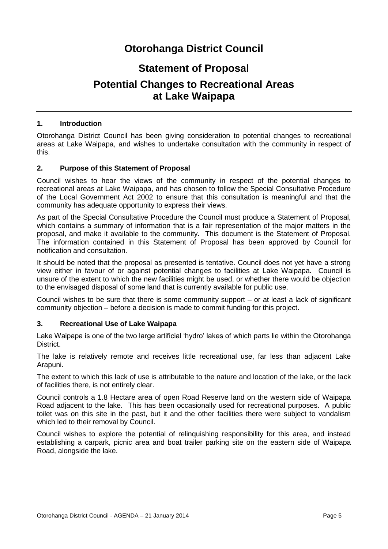# **Otorohanga District Council**

# **Statement of Proposal**

# **Potential Changes to Recreational Areas at Lake Waipapa**

# **1. Introduction**

Otorohanga District Council has been giving consideration to potential changes to recreational areas at Lake Waipapa, and wishes to undertake consultation with the community in respect of this.

# **2. Purpose of this Statement of Proposal**

Council wishes to hear the views of the community in respect of the potential changes to recreational areas at Lake Waipapa, and has chosen to follow the Special Consultative Procedure of the Local Government Act 2002 to ensure that this consultation is meaningful and that the community has adequate opportunity to express their views.

As part of the Special Consultative Procedure the Council must produce a Statement of Proposal, which contains a summary of information that is a fair representation of the major matters in the proposal, and make it available to the community. This document is the Statement of Proposal. The information contained in this Statement of Proposal has been approved by Council for notification and consultation.

It should be noted that the proposal as presented is tentative. Council does not yet have a strong view either in favour of or against potential changes to facilities at Lake Waipapa. Council is unsure of the extent to which the new facilities might be used, or whether there would be objection to the envisaged disposal of some land that is currently available for public use.

Council wishes to be sure that there is some community support – or at least a lack of significant community objection – before a decision is made to commit funding for this project.

# **3. Recreational Use of Lake Waipapa**

Lake Waipapa is one of the two large artificial 'hydro' lakes of which parts lie within the Otorohanga District.

The lake is relatively remote and receives little recreational use, far less than adjacent Lake Arapuni.

The extent to which this lack of use is attributable to the nature and location of the lake, or the lack of facilities there, is not entirely clear.

Council controls a 1.8 Hectare area of open Road Reserve land on the western side of Waipapa Road adjacent to the lake. This has been occasionally used for recreational purposes. A public toilet was on this site in the past, but it and the other facilities there were subject to vandalism which led to their removal by Council.

Council wishes to explore the potential of relinquishing responsibility for this area, and instead establishing a carpark, picnic area and boat trailer parking site on the eastern side of Waipapa Road, alongside the lake.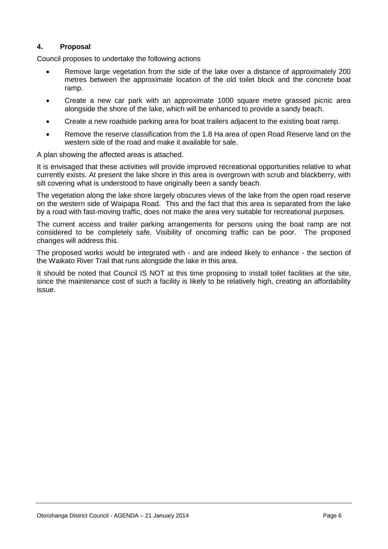# **4. Proposal**

Council proposes to undertake the following actions

- Remove large vegetation from the side of the lake over a distance of approximately 200 metres between the approximate location of the old toilet block and the concrete boat ramp.
- Create a new car park with an approximate 1000 square metre grassed picnic area alongside the shore of the lake, which will be enhanced to provide a sandy beach.
- Create a new roadside parking area for boat trailers adjacent to the existing boat ramp.
- Remove the reserve classification from the 1.8 Ha area of open Road Reserve land on the western side of the road and make it available for sale.

A plan showing the affected areas is attached.

It is envisaged that these activities will provide improved recreational opportunities relative to what currently exists. At present the lake shore in this area is overgrown with scrub and blackberry, with silt covering what is understood to have originally been a sandy beach.

The vegetation along the lake shore largely obscures views of the lake from the open road reserve on the western side of Waipapa Road. This and the fact that this area is separated from the lake by a road with fast-moving traffic, does not make the area very suitable for recreational purposes.

The current access and trailer parking arrangements for persons using the boat ramp are not considered to be completely safe. Visibility of oncoming traffic can be poor. The proposed changes will address this.

The proposed works would be integrated with - and are indeed likely to enhance - the section of the Waikato River Trail that runs alongside the lake in this area.

It should be noted that Council IS NOT at this time proposing to install toilet facilities at the site, since the maintenance cost of such a facility is likely to be relatively high, creating an affordability issue.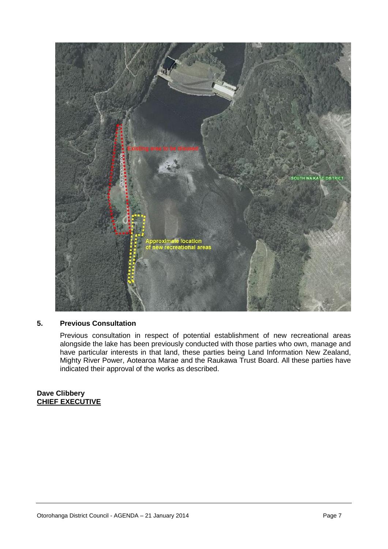

# **5. Previous Consultation**

Previous consultation in respect of potential establishment of new recreational areas alongside the lake has been previously conducted with those parties who own, manage and have particular interests in that land, these parties being Land Information New Zealand, Mighty River Power, Aotearoa Marae and the Raukawa Trust Board. All these parties have indicated their approval of the works as described.

# **Dave Clibbery CHIEF EXECUTIVE**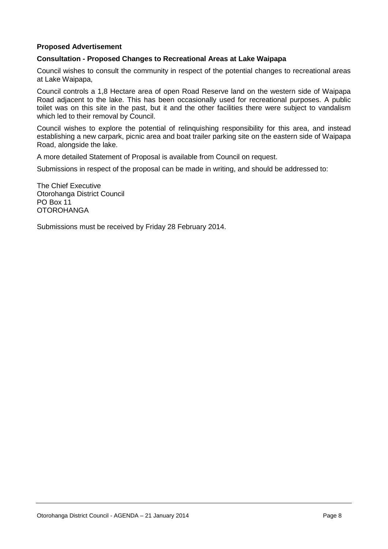# **Proposed Advertisement**

# **Consultation - Proposed Changes to Recreational Areas at Lake Waipapa**

Council wishes to consult the community in respect of the potential changes to recreational areas at Lake Waipapa,

Council controls a 1,8 Hectare area of open Road Reserve land on the western side of Waipapa Road adjacent to the lake. This has been occasionally used for recreational purposes. A public toilet was on this site in the past, but it and the other facilities there were subject to vandalism which led to their removal by Council.

Council wishes to explore the potential of relinquishing responsibility for this area, and instead establishing a new carpark, picnic area and boat trailer parking site on the eastern side of Waipapa Road, alongside the lake.

A more detailed Statement of Proposal is available from Council on request.

Submissions in respect of the proposal can be made in writing, and should be addressed to:

The Chief Executive Otorohanga District Council PO Box 11 **OTOROHANGA** 

Submissions must be received by Friday 28 February 2014.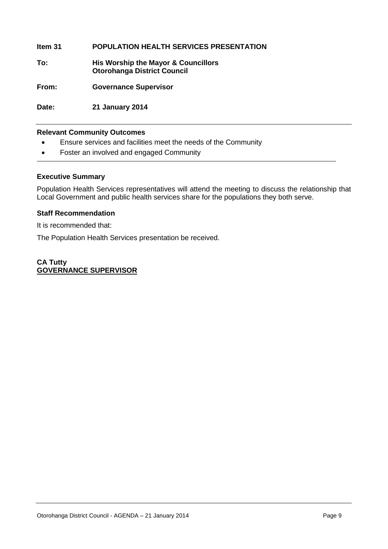# **Item 31 POPULATION HEALTH SERVICES PRESENTATION**

**To: His Worship the Mayor & Councillors Otorohanga District Council**

**From: Governance Supervisor**

**Date: 21 January 2014**

# **Relevant Community Outcomes**

- Ensure services and facilities meet the needs of the Community
- Foster an involved and engaged Community

# **Executive Summary**

Population Health Services representatives will attend the meeting to discuss the relationship that Local Government and public health services share for the populations they both serve.

# **Staff Recommendation**

It is recommended that:

The Population Health Services presentation be received.

# **CA Tutty GOVERNANCE SUPERVISOR**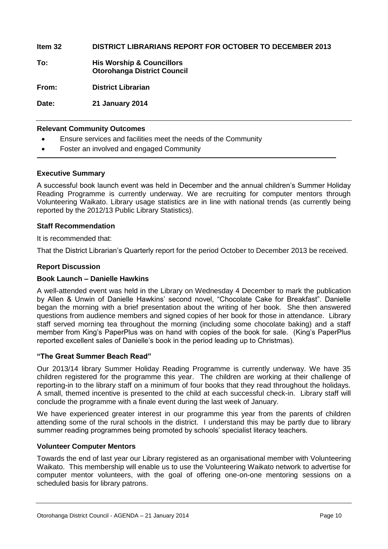**Item 32 DISTRICT LIBRARIANS REPORT FOR OCTOBER TO DECEMBER 2013**

**To: His Worship & Councillors Otorohanga District Council**

**From: District Librarian**

**Date: 21 January 2014**

# **Relevant Community Outcomes**

- Ensure services and facilities meet the needs of the Community
- Foster an involved and engaged Community

# **Executive Summary**

A successful book launch event was held in December and the annual children's Summer Holiday Reading Programme is currently underway. We are recruiting for computer mentors through Volunteering Waikato. Library usage statistics are in line with national trends (as currently being reported by the 2012/13 Public Library Statistics).

# **Staff Recommendation**

It is recommended that:

That the District Librarian's Quarterly report for the period October to December 2013 be received.

# **Report Discussion**

# **Book Launch – Danielle Hawkins**

A well-attended event was held in the Library on Wednesday 4 December to mark the publication by Allen & Unwin of Danielle Hawkins' second novel, "Chocolate Cake for Breakfast". Danielle began the morning with a brief presentation about the writing of her book. She then answered questions from audience members and signed copies of her book for those in attendance. Library staff served morning tea throughout the morning (including some chocolate baking) and a staff member from King's PaperPlus was on hand with copies of the book for sale. (King's PaperPlus reported excellent sales of Danielle's book in the period leading up to Christmas).

# **"The Great Summer Beach Read"**

Our 2013/14 library Summer Holiday Reading Programme is currently underway. We have 35 children registered for the programme this year. The children are working at their challenge of reporting-in to the library staff on a minimum of four books that they read throughout the holidays. A small, themed incentive is presented to the child at each successful check-in. Library staff will conclude the programme with a finale event during the last week of January.

We have experienced greater interest in our programme this year from the parents of children attending some of the rural schools in the district. I understand this may be partly due to library summer reading programmes being promoted by schools' specialist literacy teachers.

# **Volunteer Computer Mentors**

Towards the end of last year our Library registered as an organisational member with Volunteering Waikato. This membership will enable us to use the Volunteering Waikato network to advertise for computer mentor volunteers, with the goal of offering one-on-one mentoring sessions on a scheduled basis for library patrons.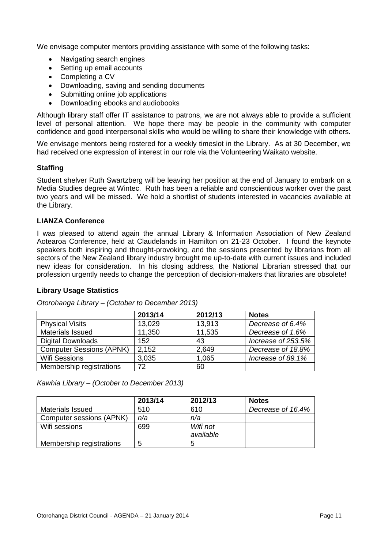We envisage computer mentors providing assistance with some of the following tasks:

- Navigating search engines
- Setting up email accounts
- Completing a CV
- Downloading, saving and sending documents
- Submitting online job applications
- Downloading ebooks and audiobooks

Although library staff offer IT assistance to patrons, we are not always able to provide a sufficient level of personal attention. We hope there may be people in the community with computer confidence and good interpersonal skills who would be willing to share their knowledge with others.

We envisage mentors being rostered for a weekly timeslot in the Library. As at 30 December, we had received one expression of interest in our role via the Volunteering Waikato website.

# **Staffing**

Student shelver Ruth Swartzberg will be leaving her position at the end of January to embark on a Media Studies degree at Wintec. Ruth has been a reliable and conscientious worker over the past two years and will be missed. We hold a shortlist of students interested in vacancies available at the Library.

# **LIANZA Conference**

I was pleased to attend again the annual Library & Information Association of New Zealand Aotearoa Conference, held at Claudelands in Hamilton on 21-23 October. I found the keynote speakers both inspiring and thought-provoking, and the sessions presented by librarians from all sectors of the New Zealand library industry brought me up-to-date with current issues and included new ideas for consideration. In his closing address, the National Librarian stressed that our profession urgently needs to change the perception of decision-makers that libraries are obsolete!

# **Library Usage Statistics**

|                                 | 2013/14 | 2012/13 | <b>Notes</b>       |
|---------------------------------|---------|---------|--------------------|
| <b>Physical Visits</b>          | 13,029  | 13,913  | Decrease of 6.4%   |
| Materials Issued                | 11,350  | 11,535  | Decrease of 1.6%   |
| <b>Digital Downloads</b>        | 152     | 43      | Increase of 253.5% |
| <b>Computer Sessions (APNK)</b> | 2,152   | 2,649   | Decrease of 18.8%  |
| <b>Wifi Sessions</b>            | 3,035   | 1,065   | Increase of 89.1%  |
| Membership registrations        | 72      | 60      |                    |

*Otorohanga Library – (October to December 2013)*

*Kawhia Library – (October to December 2013)*

|                          | 2013/14 | 2012/13   | <b>Notes</b>      |
|--------------------------|---------|-----------|-------------------|
| <b>Materials Issued</b>  | 510     | 610       | Decrease of 16.4% |
| Computer sessions (APNK) | n/a     | n/a       |                   |
| Wifi sessions            | 699     | Wifi not  |                   |
|                          |         | available |                   |
| Membership registrations | 5       |           |                   |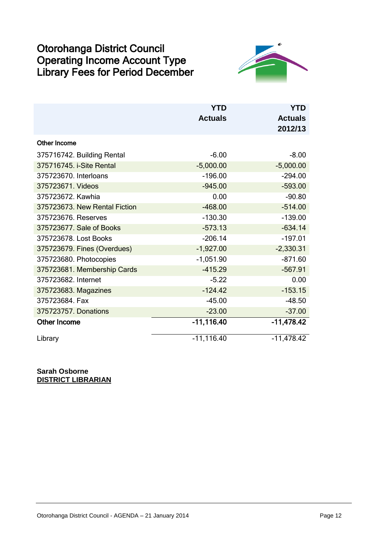# Otorohanga District Council Operating Income Account Type Library Fees for Period December



|                               | <b>YTD</b>     | <b>YTD</b>     |
|-------------------------------|----------------|----------------|
|                               | <b>Actuals</b> | <b>Actuals</b> |
|                               |                | 2012/13        |
| <b>Other Income</b>           |                |                |
| 375716742. Building Rental    | $-6.00$        | $-8.00$        |
| 375716745. i-Site Rental      | $-5,000.00$    | $-5,000.00$    |
| 375723670. Interloans         | $-196.00$      | $-294.00$      |
| 375723671. Videos             | $-945.00$      | $-593.00$      |
| 375723672. Kawhia             | 0.00           | $-90.80$       |
| 375723673. New Rental Fiction | $-468.00$      | $-514.00$      |
| 375723676. Reserves           | $-130.30$      | $-139.00$      |
| 375723677. Sale of Books      | $-573.13$      | $-634.14$      |
| 375723678. Lost Books         | $-206.14$      | $-197.01$      |
| 375723679. Fines (Overdues)   | $-1,927.00$    | $-2,330.31$    |
| 375723680. Photocopies        | $-1,051.90$    | $-871.60$      |
| 375723681. Membership Cards   | $-415.29$      | $-567.91$      |
| 375723682. Internet           | $-5.22$        | 0.00           |
| 375723683. Magazines          | $-124.42$      | $-153.15$      |
| 375723684. Fax                | $-45.00$       | $-48.50$       |
| 375723757. Donations          | $-23.00$       | $-37.00$       |
| <b>Other Income</b>           | $-11,116.40$   | $-11,478.42$   |
| Library                       | $-11, 116.40$  | $-11,478.42$   |

**Sarah Osborne DISTRICT LIBRARIAN**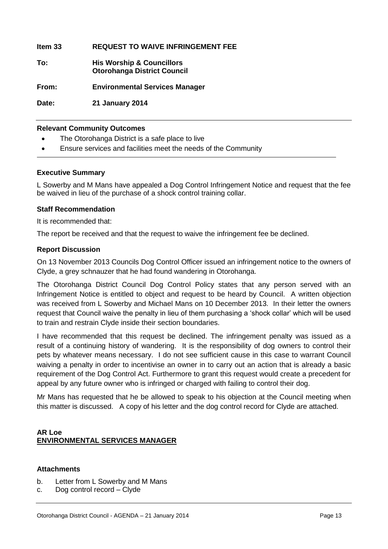| Item 33 | <b>REQUEST TO WAIVE INFRINGEMENT FEE</b>                                   |
|---------|----------------------------------------------------------------------------|
| To:     | <b>His Worship &amp; Councillors</b><br><b>Otorohanga District Council</b> |
| From:   | <b>Environmental Services Manager</b>                                      |

**Date: 21 January 2014**

# **Relevant Community Outcomes**

- The Otorohanga District is a safe place to live
- Ensure services and facilities meet the needs of the Community

# **Executive Summary**

L Sowerby and M Mans have appealed a Dog Control Infringement Notice and request that the fee be waived in lieu of the purchase of a shock control training collar.

# **Staff Recommendation**

It is recommended that:

The report be received and that the request to waive the infringement fee be declined.

# **Report Discussion**

On 13 November 2013 Councils Dog Control Officer issued an infringement notice to the owners of Clyde, a grey schnauzer that he had found wandering in Otorohanga.

The Otorohanga District Council Dog Control Policy states that any person served with an Infringement Notice is entitled to object and request to be heard by Council. A written objection was received from L Sowerby and Michael Mans on 10 December 2013. In their letter the owners request that Council waive the penalty in lieu of them purchasing a 'shock collar' which will be used to train and restrain Clyde inside their section boundaries.

I have recommended that this request be declined. The infringement penalty was issued as a result of a continuing history of wandering. It is the responsibility of dog owners to control their pets by whatever means necessary. I do not see sufficient cause in this case to warrant Council waiving a penalty in order to incentivise an owner in to carry out an action that is already a basic requirement of the Dog Control Act. Furthermore to grant this request would create a precedent for appeal by any future owner who is infringed or charged with failing to control their dog.

Mr Mans has requested that he be allowed to speak to his objection at the Council meeting when this matter is discussed. A copy of his letter and the dog control record for Clyde are attached.

# **AR Loe ENVIRONMENTAL SERVICES MANAGER**

# **Attachments**

- b. Letter from L Sowerby and M Mans
- c. Dog control record Clyde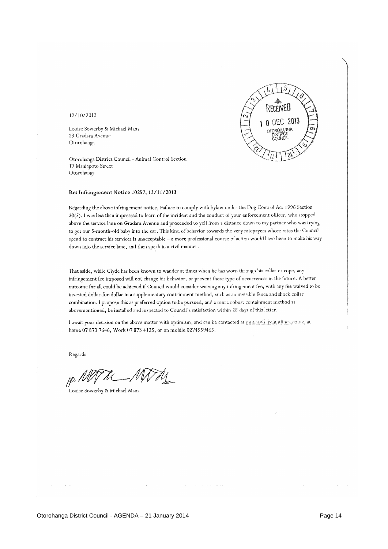

### 12/10/2013

Louise Sowerby & Michael Mans 23 Gradara Avenue Otorohanga

Otorohanga District Council - Animal Control Section 17 Maniapoto Street Otorohanga

### Re: Infringement Notice 10257, 13/11/2013

Regarding the above infringement notice, Failure to comply with bylaw under the Dog Control Act 1996 Section 20(5). I was less than impressed to learn of the incident and the conduct of your enforcement officer, who stopped above the service lane on Gradara Avenue and proceeded to yell from a distance down to my partner who was trying to get our 5-month-old baby into the car. This kind of behavior towards the very ratepayers whose rates the Council spend to contract his services is unacceptable -- a more professional course of action would have been to make his way down into the service lane, and then speak in a civil manner.

That aside, while Clyde has been known to wander at times when he has worn through his collar or rope, any infringement fee imposed will not change his behavior, or prevent these type of occurrences in the future. A better outcome for all could be achieved if Council would consider waiving any infringement fee, with any fee waived to be invested dollar-for-dollar in a supplementary containment method, such as an invisible fence and shock collar combination. I propose this as preferred option to be pursued, and a more robust containment method as abovementioned, be installed and inspected to Council's satisfaction within 28 days of this letter.

I await your decision on the above matter with optimism, and can be contacted at mmans@ freightlings.go.ng, at home 07 873 7646, Work 07 873 4125, or on mobile 0274559465.

Regards

 $\rho$ ./l

Louise Sowerby & Michael Mans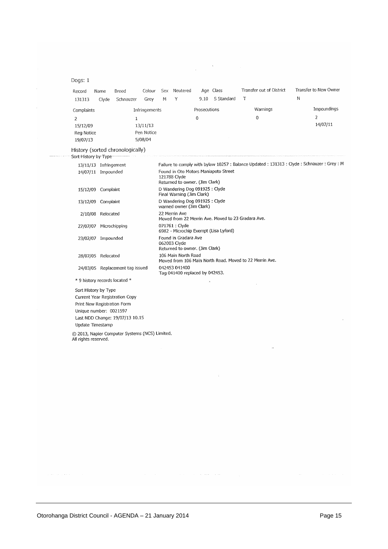# Dogs: 1

| Record         | Name  | Breed     | Colour        | Sex | Neutered |              | Age Class  | Transfer out of District | Transfer to New Owner |
|----------------|-------|-----------|---------------|-----|----------|--------------|------------|--------------------------|-----------------------|
| 131313         | Clyde | Schnauzer | Grev          | М   |          | 9.10         | S Standard |                          | Ν                     |
| Complaints     |       |           | Infringements |     |          | Prosecutions |            | Warnings                 | Impoundings           |
| $\overline{2}$ |       |           |               |     |          | 0            |            | 0                        |                       |
| 15/12/09       |       |           | 13/11/13      |     |          |              |            |                          | 14/07/11              |
| Reg Notice     |       |           | Pen Notice    |     |          |              |            |                          |                       |
| 19/07/13       |       |           | 5/08/04       |     |          |              |            |                          |                       |

 $\frac{1}{2}$  .

 $\mathcal{A}(\mathbf{S})$  and  $\mathcal{A}(\mathbf{S})$ 

# History (sorted chronologically)<br>Sort History by Type

|                      | 13/11/13 Infringement           | Failure to comply with bylaw 10257: Balance Updated: 131313: Clyde: Schnauzer: Grey: M |
|----------------------|---------------------------------|----------------------------------------------------------------------------------------|
|                      | 14/07/11 Impounded              | Found in Oto Motors Maniapoto Street<br>121788 Clyde<br>Returned to owner. (Jim Clark) |
|                      | 15/12/09 Complaint              | D Wandering Dog 091925 : Clyde<br>Final Warning (Jim Clark)                            |
|                      | 13/12/09 Complaint              | D Wandering Dog 091925 : Clyde<br>warned owner (Jim Clark)                             |
|                      | 2/10/08 Relocated               | 22 Merrin Ave<br>Moved from 22 Merrin Ave. Moved to 23 Gradara Ave.                    |
|                      | 27/07/07 Microchipping          | 071761 : Clyde<br>6982 - Microchip Exempt (Lisa Lyford)                                |
|                      | 23/02/07 Impounded              | Found in Gradara Ave<br>062003 Clyde<br>Returned to owner. (Jim Clark)                 |
|                      | 28/07/05 Relocated              | 106 Main North Road<br>Moved from 106 Main North Road. Moved to 22 Merrin Ave.         |
|                      | 24/03/05 Replacement tag issued | 042453 041400<br>Tag 041400 replaced by 042453.                                        |
|                      | * 9 history records located *   | 医                                                                                      |
| Sort History by Type |                                 |                                                                                        |
|                      | Current Year Registration Copy  |                                                                                        |
|                      | Print New Registration Form     |                                                                                        |
|                      | Unique number: 0021597          |                                                                                        |
|                      | Last NDD Change: 19/07/13 10.15 |                                                                                        |
| Update Timestamp     |                                 |                                                                                        |

 $\hat{\vec{\lambda}}$ 

 $\hat{\mathcal{A}}$  and  $\hat{\mathcal{A}}$  are  $\hat{\mathcal{A}}$  and  $\hat{\mathcal{A}}$ 

 $\frac{1}{\sqrt{2}}$ 

© 2013, Napier Computer Systems (NCS) Limited.<br>All rights reserved.

 $\hat{p}$  and  $\hat{p}$  are a second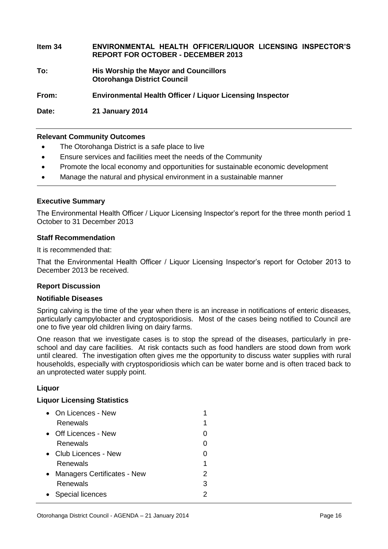# **Item 34 ENVIRONMENTAL HEALTH OFFICER/LIQUOR LICENSING INSPECTOR'S REPORT FOR OCTOBER - DECEMBER 2013**

**To: His Worship the Mayor and Councillors Otorohanga District Council**

**From: Environmental Health Officer / Liquor Licensing Inspector**

**Date: 21 January 2014**

# **Relevant Community Outcomes**

- The Otorohanga District is a safe place to live
- Ensure services and facilities meet the needs of the Community
- Promote the local economy and opportunities for sustainable economic development
- Manage the natural and physical environment in a sustainable manner

# **Executive Summary**

The Environmental Health Officer / Liquor Licensing Inspector's report for the three month period 1 October to 31 December 2013

# **Staff Recommendation**

It is recommended that:

That the Environmental Health Officer / Liquor Licensing Inspector's report for October 2013 to December 2013 be received.

# **Report Discussion**

## **Notifiable Diseases**

Spring calving is the time of the year when there is an increase in notifications of enteric diseases, particularly campylobacter and cryptosporidiosis. Most of the cases being notified to Council are one to five year old children living on dairy farms.

One reason that we investigate cases is to stop the spread of the diseases, particularly in preschool and day care facilities. At risk contacts such as food handlers are stood down from work until cleared. The investigation often gives me the opportunity to discuss water supplies with rural households, especially with cryptosporidiosis which can be water borne and is often traced back to an unprotected water supply point.

# **Liquor**

# **Liquor Licensing Statistics**

|           | $\bullet$ On Licences - New   |   |
|-----------|-------------------------------|---|
|           | Renewals                      | 1 |
|           | • Off Licences - New          | 0 |
|           | Renewals                      |   |
| $\bullet$ | Club Licences - New           |   |
|           | Renewals                      | 1 |
|           | • Managers Certificates - New | 2 |
|           | Renewals                      | 3 |
|           | • Special licences            |   |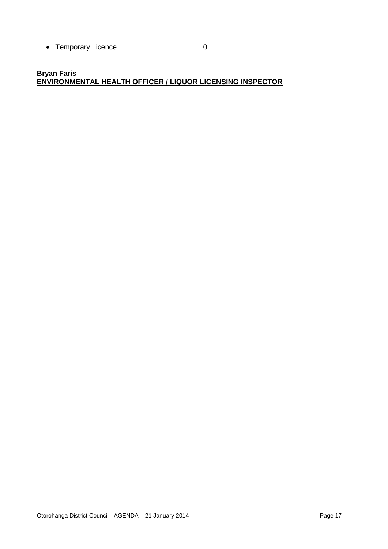• Temporary Licence 0

# **Bryan Faris ENVIRONMENTAL HEALTH OFFICER / LIQUOR LICENSING INSPECTOR**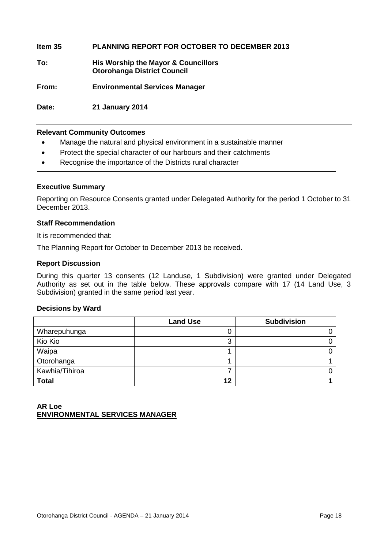**Item 35 PLANNING REPORT FOR OCTOBER TO DECEMBER 2013**

- **To: His Worship the Mayor & Councillors Otorohanga District Council**
- **From: Environmental Services Manager**

**Date: 21 January 2014**

# **Relevant Community Outcomes**

- Manage the natural and physical environment in a sustainable manner
- Protect the special character of our harbours and their catchments
- Recognise the importance of the Districts rural character

# **Executive Summary**

Reporting on Resource Consents granted under Delegated Authority for the period 1 October to 31 December 2013.

# **Staff Recommendation**

It is recommended that:

The Planning Report for October to December 2013 be received.

### **Report Discussion**

During this quarter 13 consents (12 Landuse, 1 Subdivision) were granted under Delegated Authority as set out in the table below. These approvals compare with 17 (14 Land Use, 3 Subdivision) granted in the same period last year.

### **Decisions by Ward**

|                | <b>Land Use</b> | <b>Subdivision</b> |
|----------------|-----------------|--------------------|
| Wharepuhunga   | J               |                    |
| Kio Kio        | 3               |                    |
| Waipa          |                 |                    |
| Otorohanga     |                 |                    |
| Kawhia/Tihiroa |                 |                    |
| <b>Total</b>   | 12              |                    |

# **AR Loe ENVIRONMENTAL SERVICES MANAGER**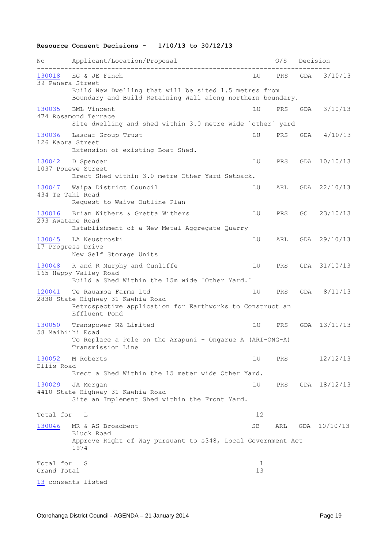# **Resource Consent Decisions - 1/10/13 to 30/12/13**

| Νo                         | Applicant/Location/Proposal                                                                                                            |         | O/S        | Decision |              |
|----------------------------|----------------------------------------------------------------------------------------------------------------------------------------|---------|------------|----------|--------------|
| 130018<br>39 Panera Street | EG & JE Finch                                                                                                                          | LU      | PRS        | GDA      | 3/10/13      |
|                            | Build New Dwelling that will be sited 1.5 metres from<br>Boundary and Build Retaining Wall along northern boundary.                    |         |            |          |              |
| 130035                     | BML Vincent<br>474 Rosamond Terrace<br>Site dwelling and shed within 3.0 metre wide 'other' yard                                       | LU      | PRS        | GDA      | 3/10/13      |
| 130036<br>126 Kaora Street | Lascar Group Trust<br>Extension of existing Boat Shed.                                                                                 | LU      | <b>PRS</b> | GDA      | 4/10/13      |
| 130042                     | D Spencer<br>1037 Pouewe Street<br>Erect Shed within 3.0 metre Other Yard Setback.                                                     | LU      | PRS        | GDA      | 10/10/13     |
| 130047<br>434 Te Tahi Road | Waipa District Council<br>Request to Waive Outline Plan                                                                                | LU      | ARL        |          | GDA 22/10/13 |
| 130016<br>293 Awatane Road | Brian Withers & Gretta Withers<br>Establishment of a New Metal Aggregate Quarry                                                        | LU      | PRS.       | GC.      | 23/10/13     |
| 130045                     | LA Neustroski<br>17 Progress Drive<br>New Self Storage Units                                                                           | LU      | ARL        | GDA      | 29/10/13     |
| 130048                     | R and R Murphy and Cunliffe<br>165 Happy Valley Road<br>Build a Shed Within the 15m wide `Other Yard.`                                 | LU      | PRS.       |          | GDA 31/10/13 |
| 120041                     | Te Rauamoa Farms Ltd<br>2838 State Highway 31 Kawhia Road<br>Retrospective application for Earthworks to Construct an<br>Effluent Pond | LU      | PRS        | GDA      | 8/11/13      |
| 130050<br>58 Maihiihi Road | Transpower NZ Limited<br>To Replace a Pole on the Arapuni - Ongarue A (ARI-ONG-A)<br>Transmission Line                                 | LU      | PRS        | GDA      | 13/11/13     |
| 130052<br>Ellis Road       | M Roberts<br>Erect a Shed Within the 15 meter wide Other Yard.                                                                         | LU      | PRS        |          | 12/12/13     |
| 130029                     | JA Morgan<br>4410 State Highway 31 Kawhia Road<br>Site an Implement Shed within the Front Yard.                                        | LU      | PRS        |          | GDA 18/12/13 |
| Total for                  | L                                                                                                                                      | 12      |            |          |              |
| 130046                     | MR & AS Broadbent<br>Bluck Road<br>Approve Right of Way pursuant to s348, Local Government Act<br>1974                                 | SB      | ARL        |          | GDA 10/10/13 |
| Total for<br>Grand Total   | S                                                                                                                                      | 1<br>13 |            |          |              |
|                            | 13 consents listed                                                                                                                     |         |            |          |              |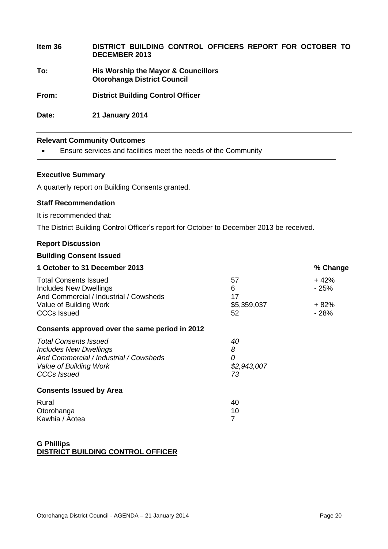| Item 36 | DISTRICT BUILDING CONTROL OFFICERS REPORT FOR OCTOBER TO<br><b>DECEMBER 2013</b> |
|---------|----------------------------------------------------------------------------------|
| To:     | His Worship the Mayor & Councillors<br><b>Otorohanga District Council</b>        |
| From:   | <b>District Building Control Officer</b>                                         |
| Date:   | <b>21 January 2014</b>                                                           |

# **Relevant Community Outcomes**

Ensure services and facilities meet the needs of the Community

# **Executive Summary**

A quarterly report on Building Consents granted.

# **Staff Recommendation**

It is recommended that:

The District Building Control Officer's report for October to December 2013 be received.

# **Report Discussion**

# **Building Consent Issued**

| 1 October to 31 December 2013                                    |             | % Change |
|------------------------------------------------------------------|-------------|----------|
| <b>Total Consents Issued</b>                                     | 57          | $+42%$   |
| Includes New Dwellings<br>And Commercial / Industrial / Cowsheds | 6<br>17     | $-25%$   |
| Value of Building Work                                           | \$5,359,037 | $+82%$   |
| <b>CCCs Issued</b>                                               | 52          | $-28%$   |
| Consents approved over the same period in 2012                   |             |          |
| <b>Total Consents Issued</b>                                     | 40          |          |
| <b>Includes New Dwellings</b>                                    | 8           |          |
| And Commercial / Industrial / Cowsheds                           | 0           |          |
| Value of Building Work                                           | \$2,943,007 |          |
| <b>CCCs Issued</b>                                               | 73          |          |
| <b>Consents Issued by Area</b>                                   |             |          |
| Rural                                                            | 40          |          |
| Otorohanga                                                       | 10          |          |
| Kawhia / Aotea                                                   | 7           |          |
|                                                                  |             |          |

# **G Phillips DISTRICT BUILDING CONTROL OFFICER**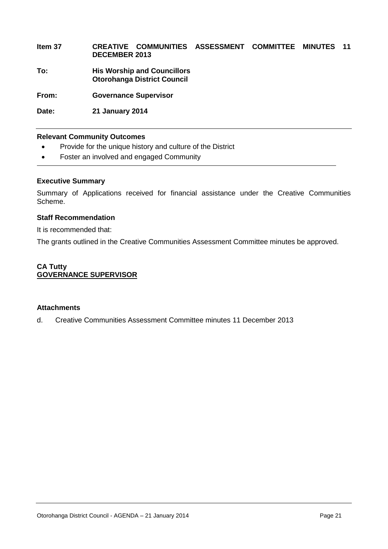# **Item 37 CREATIVE COMMUNITIES ASSESSMENT COMMITTEE MINUTES 11 DECEMBER 2013**

**To: His Worship and Councillors Otorohanga District Council**

**From: Governance Supervisor**

**Date: 21 January 2014**

# **Relevant Community Outcomes**

- Provide for the unique history and culture of the District
- Foster an involved and engaged Community

# **Executive Summary**

Summary of Applications received for financial assistance under the Creative Communities Scheme.

# **Staff Recommendation**

It is recommended that:

The grants outlined in the Creative Communities Assessment Committee minutes be approved.

# **CA Tutty GOVERNANCE SUPERVISOR**

# **Attachments**

d. Creative Communities Assessment Committee minutes 11 December 2013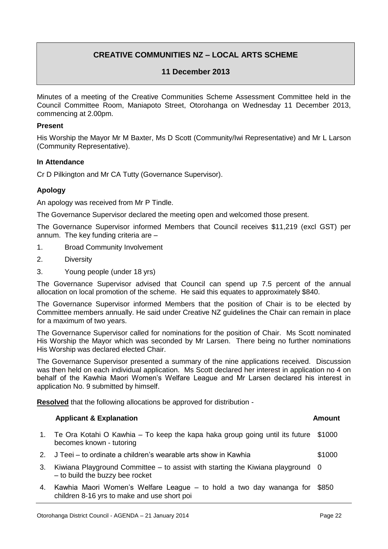# **CREATIVE COMMUNITIES NZ – LOCAL ARTS SCHEME**

# **11 December 2013**

Minutes of a meeting of the Creative Communities Scheme Assessment Committee held in the Council Committee Room, Maniapoto Street, Otorohanga on Wednesday 11 December 2013, commencing at 2.00pm.

# **Present**

His Worship the Mayor Mr M Baxter, Ms D Scott (Community/Iwi Representative) and Mr L Larson (Community Representative).

# **In Attendance**

Cr D Pilkington and Mr CA Tutty (Governance Supervisor).

# **Apology**

An apology was received from Mr P Tindle.

The Governance Supervisor declared the meeting open and welcomed those present.

The Governance Supervisor informed Members that Council receives \$11,219 (excl GST) per annum. The key funding criteria are –

- 1. Broad Community Involvement
- 2. Diversity
- 3. Young people (under 18 yrs)

The Governance Supervisor advised that Council can spend up 7.5 percent of the annual allocation on local promotion of the scheme. He said this equates to approximately \$840.

The Governance Supervisor informed Members that the position of Chair is to be elected by Committee members annually. He said under Creative NZ guidelines the Chair can remain in place for a maximum of two years.

The Governance Supervisor called for nominations for the position of Chair. Ms Scott nominated His Worship the Mayor which was seconded by Mr Larsen. There being no further nominations His Worship was declared elected Chair.

The Governance Supervisor presented a summary of the nine applications received. Discussion was then held on each individual application. Ms Scott declared her interest in application no 4 on behalf of the Kawhia Maori Women's Welfare League and Mr Larsen declared his interest in application No. 9 submitted by himself.

**Resolved** that the following allocations be approved for distribution -

# **Applicant & Explanation Amount**

- 1. Te Ora Kotahi O Kawhia To keep the kapa haka group going until its future \$1000 becomes known - tutoring
- 2. J Teei to ordinate a children's wearable arts show in Kawhia \$1000
- 3. Kiwiana Playground Committee to assist with starting the Kiwiana playground 0 – to build the buzzy bee rocket
- 4. Kawhia Maori Women's Welfare League to hold a two day wananga for \$850children 8-16 yrs to make and use short poi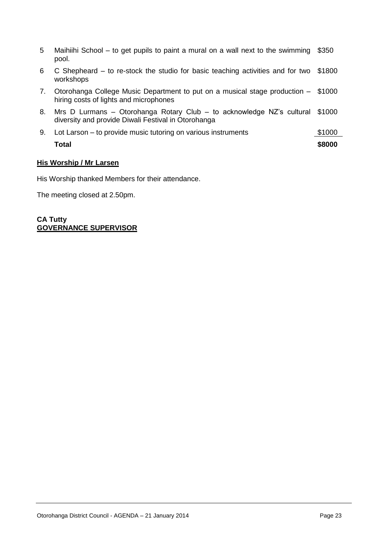| 5  | Maihiihi School – to get pupils to paint a mural on a wall next to the swimming<br>pool.                                     | \$350  |
|----|------------------------------------------------------------------------------------------------------------------------------|--------|
| 6  | C Shepheard – to re-stock the studio for basic teaching activities and for two<br>workshops                                  | \$1800 |
| 7. | Otorohanga College Music Department to put on a musical stage production – \$1000<br>hiring costs of lights and microphones  |        |
| 8. | Mrs D Lurmans – Otorohanga Rotary Club – to acknowledge NZ's cultural<br>diversity and provide Diwali Festival in Otorohanga | \$1000 |
| 9. | Lot Larson – to provide music tutoring on various instruments                                                                | \$1000 |
|    | Total                                                                                                                        | \$8000 |

# **His Worship / Mr Larsen**

His Worship thanked Members for their attendance.

The meeting closed at 2.50pm.

**CA Tutty GOVERNANCE SUPERVISOR**